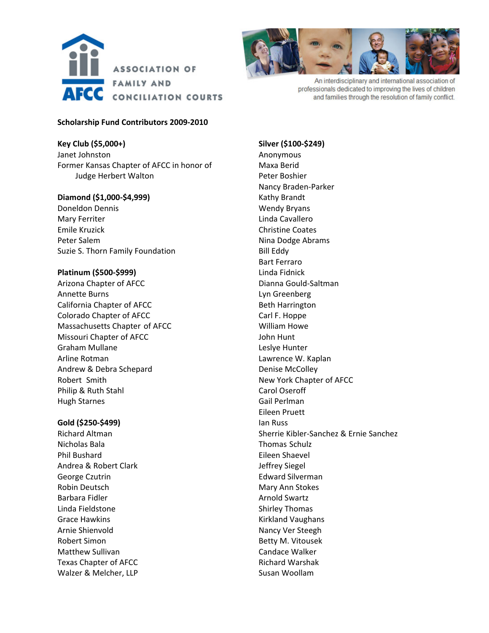



An interdisciplinary and international association of professionals dedicated to improving the lives of children and families through the resolution of family conflict.

## **Scholarship Fund Contributors 2009‐2010**

**Key Club (\$5,000+)** Janet Johnston Former Kansas Chapter of AFCC in honor of Judge Herbert Walton

# **Diamond (\$1,000‐\$4,999)**

Doneldon Dennis Mary Ferriter Emile Kruzick Peter Salem Suzie S. Thorn Family Foundation

## **Platinum (\$500‐\$999)**

Arizona Chapter of AFCC Annette Burns California Chapter of AFCC Colorado Chapter of AFCC Massachusetts Chapter of AFCC Missouri Chapter of AFCC Graham Mullane Arline Rotman Andrew & Debra Schepard Robert Smith Philip & Ruth Stahl Hugh Starnes

## **Gold (\$250‐\$499)**

Richard Altman Nicholas Bala Phil Bushard Andrea & Robert Clark George Czutrin Robin Deutsch Barbara Fidler Linda Fieldstone Grace Hawkins Arnie Shienvold Robert Simon Matthew Sullivan Texas Chapter of AFCC Walzer & Melcher, LLP

**Silver (\$100‐\$249)** Anonymous Maxa Berid Peter Boshier Nancy Braden‐Parker Kathy Brandt Wendy Bryans Linda Cavallero Christine Coates Nina Dodge Abrams Bill Eddy Bart Ferraro Linda Fidnick Dianna Gould‐Saltman Lyn Greenberg Beth Harrington Carl F. Hoppe William Howe John Hunt Leslye Hunter Lawrence W. Kaplan Denise McColley New York Chapter of AFCC Carol Oseroff Gail Perlman Eileen Pruett Ian Russ Sherrie Kibler‐Sanchez & Ernie Sanchez Thomas Schulz Eileen Shaevel Jeffrey Siegel Edward Silverman Mary Ann Stokes Arnold Swartz Shirley Thomas Kirkland Vaughans Nancy Ver Steegh Betty M. Vitousek Candace Walker Richard Warshak Susan Woollam